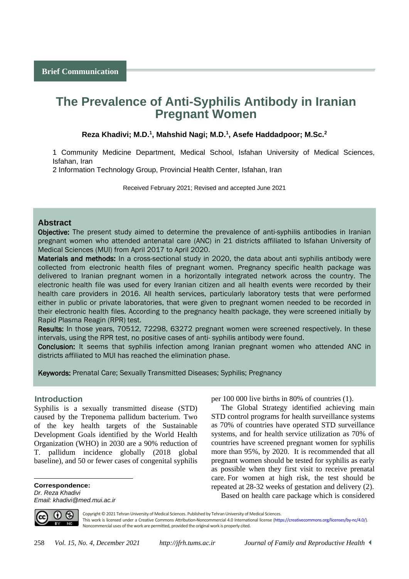# **The Prevalence of Anti-Syphilis Antibody in Iranian Pregnant Women**

#### **Reza Khadivi; M.D.<sup>1</sup> , Mahshid Nagi; M.D.<sup>1</sup> , Asefe Haddadpoor; M.Sc.<sup>2</sup>**

1 Community Medicine Department, Medical School, Isfahan University of Medical Sciences, Isfahan, Iran

2 Information Technology Group, Provincial Health Center, Isfahan, Iran

Received February 2021; Revised and accepted June 2021

## **Abstract**

Objective: The present study aimed to determine the prevalence of anti-syphilis antibodies in Iranian pregnant women who attended antenatal care (ANC) in 21 districts affiliated to Isfahan University of Medical Sciences (MUI) from April 2017 to April 2020.

Materials and methods: In a cross-sectional study in 2020, the data about anti syphilis antibody were collected from electronic health files of pregnant women. Pregnancy specific health package was delivered to Iranian pregnant women in a horizontally integrated network across the country. The electronic health file was used for every Iranian citizen and all health events were recorded by their health care providers in 2016. All health services, particularly laboratory tests that were performed either in public or private laboratories, that were given to pregnant women needed to be recorded in their electronic health files. According to the pregnancy health package, they were screened initially by Rapid Plasma Reagin (RPR) test.

Results: In those years, 70512, 72298, 63272 pregnant women were screened respectively. In these intervals, using the RPR test, no positive cases of anti- syphilis antibody were found.

Conclusion: It seems that syphilis infection among Iranian pregnant women who attended ANC in districts affiliated to MUI has reached the elimination phase.

Keywords: Prenatal Care; Sexually Transmitted Diseases; Syphilis; Pregnancy

### <sup>1</sup>**Introduction**

Syphilis is a sexually transmitted disease (STD) caused by the Treponema pallidum bacterium. Two of the key health targets of the Sustainable Development Goals identified by the World Health Organization (WHO) in 2030 are a 90% reduction of T. pallidum incidence globally (2018 global baseline), and 50 or fewer cases of congenital syphilis

**Correspondence:** *Dr. Reza Khadivi Email: khadivi@med.mui.ac.ir* per 100 000 live births in 80% of countries (1).

The Global Strategy identified achieving main STD control programs for health surveillance systems as 70% of countries have operated STD surveillance systems, and for health service utilization as 70% of countries have screened pregnant women for syphilis more than 95%, by 2020. It is recommended that all pregnant women should be tested for syphilis as early as possible when they first visit to receive prenatal care. For women at high risk, the test should be repeated at 28-32 weeks of gestation and delivery (2). Based on health care package which is considered



 $\overline{a}$ 

Copyright © 2021 Tehran University of Medical Sciences. Published by Tehran University of Medical Sciences. This work is licensed under a Creative Commons Attribution-Noncommercial 4.0 International license [\(https://creativecommons.org/licenses/by-nc/4.0/\)](https://creativecommons.org/licenses/by-nc/4.0/). Noncommercial uses of the work are permitted, provided the original work is properly cited.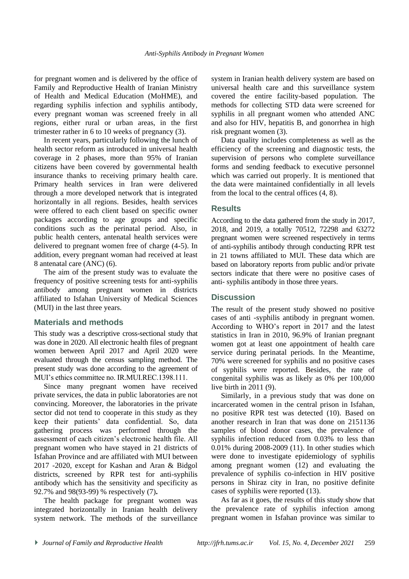for pregnant women and is delivered by the office of Family and Reproductive Health of Iranian Ministry of Health and Medical Education (MoHME), and regarding syphilis infection and syphilis antibody, every pregnant woman was screened freely in all regions, either rural or urban areas, in the first trimester rather in 6 to 10 weeks of pregnancy (3).

In recent years, particularly following the lunch of health sector reform as introduced in universal health coverage in 2 phases, more than 95% of Iranian citizens have been covered by governmental health insurance thanks to receiving primary health care. Primary health services in Iran were delivered through a more developed network that is integrated horizontally in all regions. Besides, health services were offered to each client based on specific owner packages according to age groups and specific conditions such as the perinatal period. Also, in public health centers, antenatal health services were delivered to pregnant women free of charge (4-5). In addition, every pregnant woman had received at least 8 antenatal care (ANC) (6).

The aim of the present study was to evaluate the frequency of positive screening tests for anti-syphilis antibody among pregnant women in districts affiliated to Isfahan University of Medical Sciences (MUI) in the last three years.

## **Materials and methods**

This study was a descriptive cross-sectional study that was done in 2020. All electronic health files of pregnant women between April 2017 and April 2020 were evaluated through the census sampling method. The present study was done according to the agreement of MUI's ethics committee no. IR.MUI.REC.1398.111.

Since many pregnant women have received private services, the data in public laboratories are not convincing. Moreover, the laboratories in the private sector did not tend to cooperate in this study as they keep their patients' data confidential. So, data gathering process was performed through the assessment of each citizen's electronic health file. All pregnant women who have stayed in 21 districts of Isfahan Province and are affiliated with MUI between 2017 -2020, except for Kashan and Aran & Bidgol districts, screened by RPR test for anti-syphilis antibody which has the sensitivity and specificity as 92.7% and 98(93-99) % respectively (7)**.**

The health package for pregnant women was integrated horizontally in Iranian health delivery system network. The methods of the surveillance system in Iranian health delivery system are based on universal health care and this surveillance system covered the entire facility-based population. The methods for collecting STD data were screened for syphilis in all pregnant women who attended ANC and also for HIV, hepatitis B, and gonorrhea in high risk pregnant women (3).

Data quality includes completeness as well as the efficiency of the screening and diagnostic tests, the supervision of persons who complete surveillance forms and sending feedback to executive personnel which was carried out properly. It is mentioned that the data were maintained confidentially in all levels from the local to the central offices (4, 8).

## **Results**

According to the data gathered from the study in 2017, 2018, and 2019, a totally 70512, 72298 and 63272 pregnant women were screened respectively in terms of anti-syphilis antibody through conducting RPR test in 21 towns affiliated to MUI. These data which are based on laboratory reports from public and/or private sectors indicate that there were no positive cases of anti- syphilis antibody in those three years.

# **Discussion**

The result of the present study showed no positive cases of anti -syphilis antibody in pregnant women. According to WHO's report in 2017 and the latest statistics in Iran in 2010, 96.9% of Iranian pregnant women got at least one appointment of health care service during perinatal periods. In the Meantime, 70% were screened for syphilis and no positive cases of syphilis were reported. Besides, the rate of congenital syphilis was as likely as 0% per 100,000 live birth in 2011 (9).

Similarly, in a previous study that was done on incarcerated women in the central prison in Isfahan, no positive RPR test was detected (10). Based on another research in Iran that was done on 2151136 samples of blood donor cases, the prevalence of syphilis infection reduced from 0.03% to less than 0.01% during 2008-2009 (11). In other studies which were done to investigate epidemiology of syphilis among pregnant women (12) and evaluating the prevalence of syphilis co-infection in HIV positive persons in Shiraz city in Iran, no positive definite cases of syphilis were reported (13).

As far as it goes, the results of this study show that the prevalence rate of syphilis infection among pregnant women in Isfahan province was similar to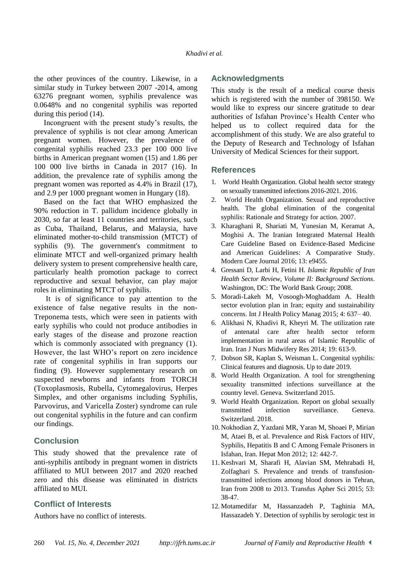the other provinces of the country. Likewise, in a similar study in Turkey between 2007 -2014, among 63276 pregnant women, syphilis prevalence was 0.0648% and no congenital syphilis was reported during this period (14).

Incongruent with the present study's results, the prevalence of syphilis is not clear among American pregnant women. However, the prevalence of congenital syphilis reached 23.3 per 100 000 live births in American pregnant women (15) and 1.86 per 100 000 live births in Canada in 2017 (16). In addition, the prevalence rate of syphilis among the pregnant women was reported as 4.4% in Brazil (17), and 2.9 per 1000 pregnant women in Hungary (18).

Based on the fact that WHO emphasized the 90% reduction in T. pallidum incidence globally in 2030, so far at least 11 countries and territories, such as Cuba, Thailand, Belarus, and Malaysia, have eliminated mother-to-child transmission (MTCT) of syphilis (9). The government's commitment to eliminate MTCT and well-organized primary health delivery system to present comprehensive health care, particularly health promotion package to correct reproductive and sexual behavior, can play major roles in eliminating MTCT of syphilis.

It is of significance to pay attention to the existence of false negative results in the non-Treponema tests, which were seen in patients with early syphilis who could not produce antibodies in early stages of the disease and prozone reaction which is commonly associated with pregnancy  $(1)$ . However, the last WHO's report on zero incidence rate of congenital syphilis in Iran supports our finding (9). However supplementary research on suspected newborns and infants from TORCH (Toxoplasmosis, Rubella, Cytomegalovirus, Herpes Simplex, and other organisms including Syphilis, Parvovirus, and Varicella Zoster) syndrome can rule out congenital syphilis in the future and can confirm our findings.

# **Conclusion**

This study showed that the prevalence rate of anti-syphilis antibody in pregnant women in districts affiliated to MUI between 2017 and 2020 reached zero and this disease was eliminated in districts affiliated to MUI.

## **Conflict of Interests**

Authors have no conflict of interests.

## **Acknowledgments**

This study is the result of a medical course thesis which is registered with the number of 398150. We would like to express our sincere gratitude to dear authorities of Isfahan Province's Health Center who helped us to collect required data for the accomplishment of this study. We are also grateful to the Deputy of Research and Technology of Isfahan University of Medical Sciences for their support.

### **References**

- 1. World Health Organization. Global health sector strategy on sexually transmitted infections 2016-2021. 2016.
- 2. World Health Organization. Sexual and reproductive health. The global elimination of the congenital syphilis: Rationale and Strategy for action. 2007.
- 3. Kharaghani R, Shariati M, Yunesian M, Keramat A, Moghisi A. The Iranian Integrated Maternal Health Care Guideline Based on Evidence-Based Medicine and American Guidelines: A Comparative Study. Modern Care Journal 2016; 13: e9455.
- 4. Gressani D, Larbi H, Fetini H. *Islamic Republic of Iran Health Sector Review, Volume II: Background Sections*. Washington, DC: The World Bank Group; 2008.
- 5. Moradi-Lakeh M, Vosoogh-Moghaddam A. Health sector evolution plan in Iran; equity and sustainability concerns. Int J Health Policy Manag 2015; 4: 637– 40.
- 6. Alikhasi N, Khadivi R, Kheyri M. The utilization rate of antenatal care after health sector reform implementation in rural areas of Islamic Republic of Iran. Iran J Nurs Midwifery Res 2014; 19: 613-9.
- 7. Dobson SR, Kaplan S, Weisman L. Congenital syphilis: Clinical features and diagnosis. Up to date 2019.
- 8. World Health Organization. A tool for strengthening sexuality transmitted infections surveillance at the country level. Geneva. Switzerland 2015.
- 9. World Health Organization. Report on global sexually transmitted infection surveillance. Geneva. Switzerland. 2018.
- 10. Nokhodian Z, Yazdani MR, Yaran M, Shoaei P, Mirian M, Ataei B, et al. Prevalence and Risk Factors of HIV, Syphilis, Hepatitis B and C Among Female Prisoners in Isfahan, Iran. Hepat Mon 2012; 12: 442-7.
- 11. Keshvari M, Sharafi H, Alavian SM, Mehrabadi H, Zolfaghari S. Prevalence and trends of transfusiontransmitted infections among blood donors in Tehran, Iran from 2008 to 2013. Transfus Apher Sci 2015; 53: 38-47.
- 12. Motamedifar M, Hassanzadeh P, Taghinia MA, Hassazadeh Y. Detection of syphilis by serologic test in